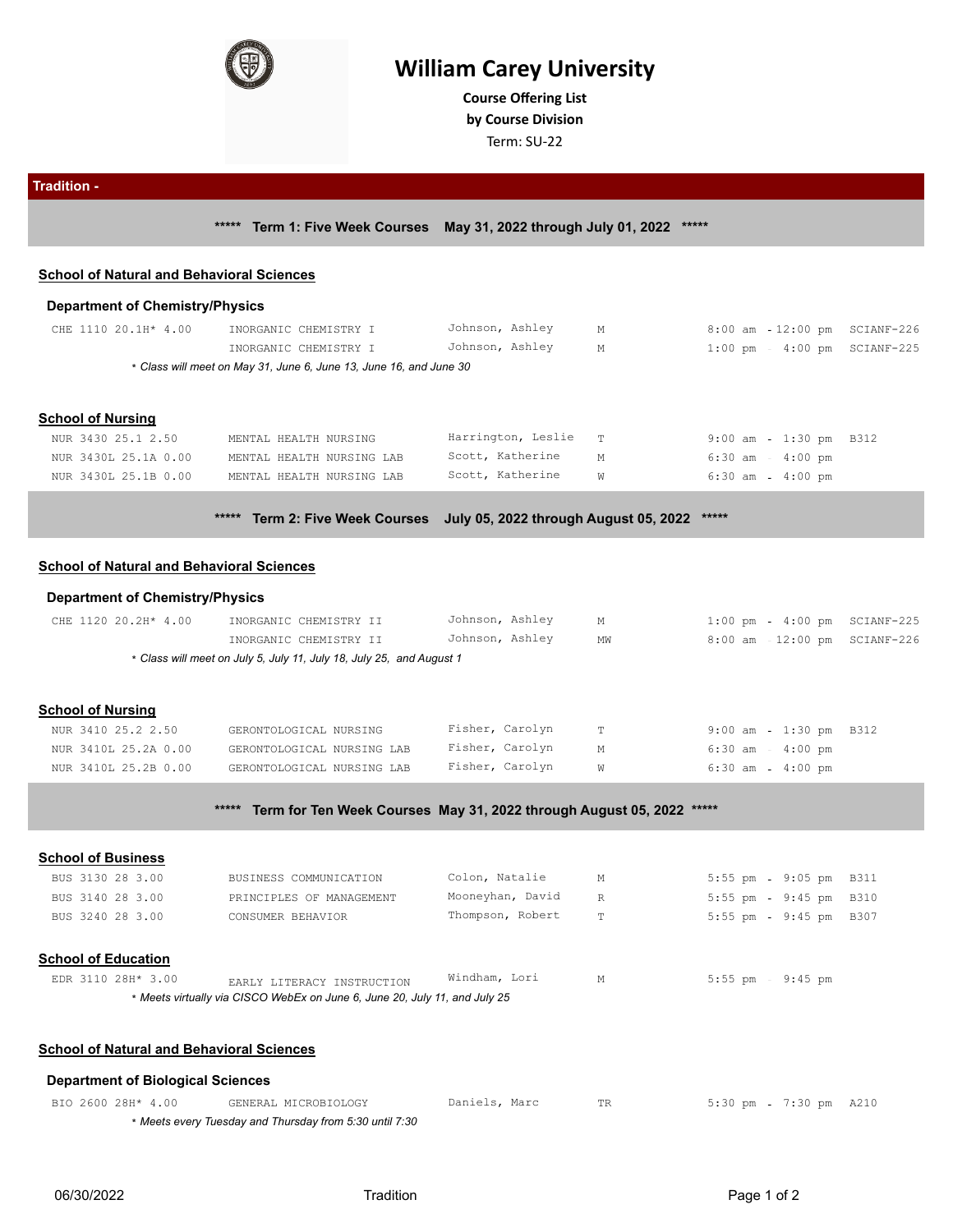

# **William Carey University**

**Course Ofering List by Course Division**

Term: SU-22

**Tradition - \*\*\*\*\* Term 1: Five Week Courses May 31, 2022 through July 01, 2022 \*\*\*\*\***

#### **School of Natural and Behavioral Sciences**

#### **Department of Chemistry/Physics**

| CHE 1110 20.1H* 4.00 | INORGANIC CHEMISTRY I                                              | Johnson, Ashley | M | 8:00 am 12:00 pm SCIANF-226                    |  |
|----------------------|--------------------------------------------------------------------|-----------------|---|------------------------------------------------|--|
|                      | INORGANIC CHEMISTRY I                                              | Johnson, Ashley | M | $1:00 \text{ pm} - 4:00 \text{ pm}$ SCIANF-225 |  |
|                      | * Class will meet on May 31, June 6, June 13, June 16, and June 30 |                 |   |                                                |  |
|                      |                                                                    |                 |   |                                                |  |

#### **School of Nursing**

| NUR 3430 25.1 2.50   | MENTAL HEALTH NURSING     | Harrington, Leslie T |     |                     | $9:00$ am - 1:30 pm B312 |
|----------------------|---------------------------|----------------------|-----|---------------------|--------------------------|
| NUR 3430L 25.1A 0.00 | MENTAL HEALTH NURSING LAB | Scott, Katherine     |     | 6:30 am 4:00 pm     |                          |
| NUR 3430L 25.1B 0.00 | MENTAL HEALTH NURSING LAB | Scott, Katherine     | Tv7 | $6:30$ am $4:00$ pm |                          |

**\*\*\*\*\* Term 2: Five Week Courses July 05, 2022 through August 05, 2022 \*\*\*\*\***

#### **School of Natural and Behavioral Sciences**

#### **Department of Chemistry/Physics**

| CHE 1120 20.2H* 4.00 | INORGANIC CHEMISTRY II                                               | Johnson, Ashley | M  |  | $1:00 \text{ pm}$ $4:00 \text{ pm}$ SCIANF-225 |
|----------------------|----------------------------------------------------------------------|-----------------|----|--|------------------------------------------------|
|                      | INORGANIC CHEMISTRY II                                               | Johnson, Ashley | MW |  | 8:00 am - 12:00 pm SCIANF-226                  |
|                      | * Class will meet on July 5, July 11, July 18, July 25, and August 1 |                 |    |  |                                                |

### **School of Nursing**

| NUR 3410 25.2 2.50   | GERONTOLOGICAL NURSING     | Fisher, Carolyn |   | $9:00$ am - 1:30 pm B312 |
|----------------------|----------------------------|-----------------|---|--------------------------|
| NUR 3410L 25.2A 0.00 | GERONTOLOGICAL NURSING LAB | Fisher, Carolyn | M | 6:30 am 4:00 pm          |
| NUR 3410L 25.2B 0.00 | GERONTOLOGICAL NURSING LAB | Fisher, Carolyn |   | $6:30$ am $-4:00$ pm     |

# **\*\*\*\*\* Term for Ten Week Courses May 31, 2022 through August 05, 2022 \*\*\*\*\***

**School of Business** BUS 3130 28 3.00 BUSINESS COMMUNICATION Colon, Natalie M 5:55 pm - 9:05 pm B311 BUS 3140 28 3.00 PRINCIPLES OF MANAGEMENT Mooneyhan, David R 5:55 pm 9:45 pm B310 BUS 3240 28 3.00 CONSUMER BEHAVIOR Thompson, Robert T 5:55 pm 9:45 pm B307 **School of Education** EDR 3110 28H\* 3.00 EARLY LITERACY INSTRUCTION Windham, Lori M 19:55 pm 9:45 pm \* *Meets virtually via CISCO WebEx on June 6, June 20, July 11, and July 25*

#### **School of Natural and Behavioral Sciences**

#### **Department of Biological Sciences**

| BIO 2600 28H*<br>.00 | MICROBIOLOGY<br>GENERAL .                             | Daniels<br>Marc | $5:30$ pm | ':30 pm | AZIU |
|----------------------|-------------------------------------------------------|-----------------|-----------|---------|------|
|                      | Meets every Tuesday and Thursday from 5:30 until 7:30 |                 |           |         |      |